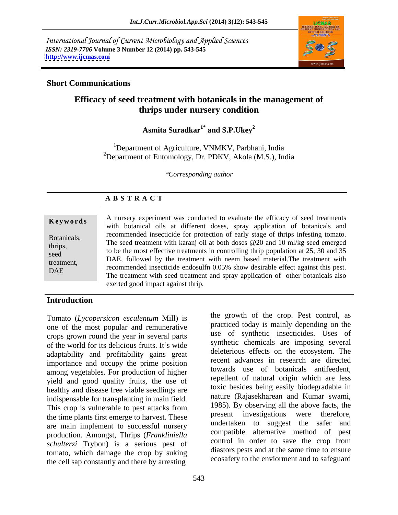International Journal of Current Microbiology and Applied Sciences *ISSN: 2319-7706* **Volume 3 Number 12 (2014) pp. 543-545 <http://www.ijcmas.com>**



**A B S T R A C T**

### **Short Communications**

# **Efficacy of seed treatment with botanicals in the management of thrips under nursery condition**

**Asmita Suradkar1\* and S.P.Ukey<sup>2</sup>**

<sup>1</sup>Department of Agriculture, VNMKV, Parbhani, India <sup>2</sup>Department of Entomology, Dr. PDKV, Akola (M.S.), India

*\*Corresponding author* 

| Keywords               | A nursery experiment was conducted to evaluate the efficacy of seed treatments<br>with botanical oils at different doses, spray application of botanicals and                                              |
|------------------------|------------------------------------------------------------------------------------------------------------------------------------------------------------------------------------------------------------|
| Botanicals,<br>thrips, | recommended insecticide for protection of early stage of thrips infesting tomato.<br>The seed treatment with karanj oil at both doses @20 and 10 ml/kg seed emerged                                        |
| seed<br>treatment,     | to be the most effective treatments in controlling thrip population at 25, 30 and 35<br>DAE, followed by the treatment with neem based material. The treatment with                                        |
| DAE                    | recommended insecticide endosulfn 0.05% show desirable effect against this pest.<br>The treatment with seed treatment and spray application of other botanicals also<br>exerted good impact against thrip. |

## **Introduction**

Tomato (*Lycopersicon esculentum* Mill) is one of the most popular and remunerative crops grown round the year in several parts of the world for its delicious fruits. It's wide adaptability and profitability gains great importance and occupy the prime position among vegetables. For production of higher yield and good quality fruits, the use of healthy and disease free viable seedlings are indispensable for transplanting in main field. This crop is vulnerable to pest attacks from TP85). By observing all the above facts, the the time plants first emerge to her vect. These present investigations were therefore, the time plants first emerge to harvest. These are main implement to successful nursery production. Amongst, Thrips (*Frankliniella* compatible atternative method of pest<br>control in order to save the crop from *schulterzi* Trybon) is a serious pest of tomato, which damage the crop by suking the cell sap constantly and there by arresting

the growth of the crop. Pest control, as practiced today is mainly depending on the use of synthetic insecticides. Uses of synthetic chemicals are imposing several deleterious effects on the ecosystem. The recent advances in research are directed towards use of botanicals antifeedent, repellent of natural origin which are less toxic besides being easily biodegradable in nature (Rajasekharean and Kumar swami, 1985). By observing all the above facts, the present investigations undertaken to suggest the safer and compatible alternative method of pest control in order to save the crop from diastors pests and at the same time to ensure ecosafety to the enviorment and to safeguard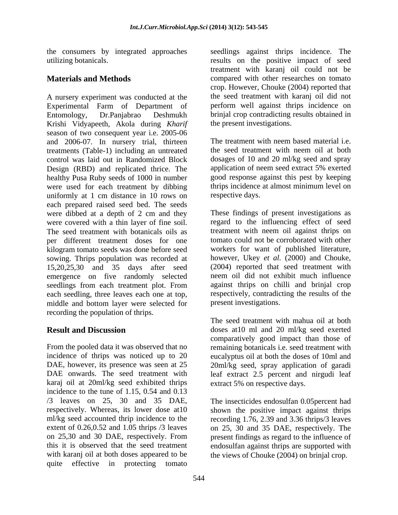the consumers by integrated approaches

A nursery experiment was conducted at the the seed treatment with karanj oil did not Experimental Farm of Department of Entomology, Dr.Panjabrao Deshmukh brinjal crop contradicting results obtained in Krishi Vidyapeeth, Akola during *Kharif* season of two consequent year i.e. 2005-06 and 2006-07. In nursery trial, thirteen The treatment with neem based material i.e. treatments (Table-1) including an untreated control was laid out in Randomized Block Design (RBD) and replicated thrice. The application of neem seed extract 5% exerted healthy Pusa Ruby seeds of 1000 in number were used for each treatment by dibbing uniformly at 1 cm distance in 10 rows on each prepared raised seed bed. The seeds were dibbed at a depth of 2 cm and they were covered with a thin layer of fine soil. regard to the influencing effect of seed The seed treatment with botanicals oils as treatment with neem oil against thrips on per different treatment doses for one kilogram tomato seeds was done before seed sowing. Thrips population was recorded at 15,20,25,30 and 35 days after seed emergence on five randomly selected seedlings from each treatment plot. From each seedling, three leaves each one at top, middle and bottom layer were selected for recording the population of thrips.

karaj oil at 20ml/kg seed exhibited thrips incidence to the tune of 1.15, 0.54 and 0.13 /3 leaves on 25, 30 and 35 DAE, The insecticides endosulfan 0.05percent had respectively. Whereas, its lower dose at10 shown the positive impact against thrips ml/kg seed accounted thrip incidence to the recording 1.76, 2.39 and 3.36 thrips/3 leaves extent of 0.26,0.52 and 1.05 thrips /3 leaves on 25, 30 and 35 DAE, respectively. The on 25,30 and 30 DAE, respectively. From present findings as regard to the influence of this it is observed that the seed treatment endosulfan against thrips are supported with with karanj oil at both doses appeared to be the views of Chouke (2004) on brinjal crop. quite effective in protecting tomato

utilizing botanicals. results on the positive impact of seed **Materials and Methods compared with other researches on tomato** seedlings against thrips incidence. The treatment with karanj oil could not be crop. However, Chouke (2004) reported that perform well against thrips incidence on the present investigations.

> The treatment with neem based material i.e. the seed treatment with neem oil at both dosages of 10 and 20 ml/kg seed and spray good response against this pest by keeping thrips incidence at almost minimum level on respective days.

These findings of present investigations as tomato could not be corroborated with other workers for want of published literature, however, Ukey *et al.* (2000) and Chouke, (2004) reported that seed treatment with neem oil did not exhibit much influence against thrips on chilli and brinjal crop respectively, contradicting the results of the present investigations.

**Result and Discussion** doses at 10 ml and 20 ml/kg seed exerted From the pooled data it was observed that no remaining botanicals i.e. seed treatment with incidence of thrips was noticed up to 20 eucalyptus oil at both the doses of 10ml and DAE, however, its presence was seen at 25 20ml/kg seed, spray application of garadi DAE onwards. The seed treatment with leaf extract 2.5 percent and nirgudi leaf The seed treatment with mahua oil at both comparatively good impact than those of extract 5% on respective days.